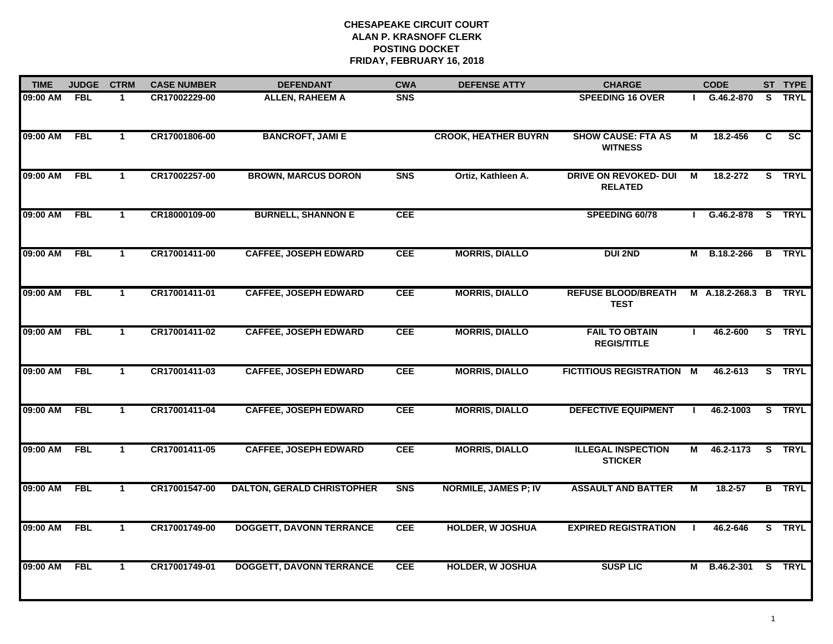| <b>TIME</b> | <b>JUDGE</b> | <b>CTRM</b>          | <b>CASE NUMBER</b> | <b>DEFENDANT</b>                  | <b>CWA</b> | <b>DEFENSE ATTY</b>         | <b>CHARGE</b>                                  |    | <b>CODE</b>       |   | ST TYPE       |
|-------------|--------------|----------------------|--------------------|-----------------------------------|------------|-----------------------------|------------------------------------------------|----|-------------------|---|---------------|
| 09:00 AM    | <b>FBL</b>   | -1                   | CR17002229-00      | <b>ALLEN, RAHEEM A</b>            | <b>SNS</b> |                             | <b>SPEEDING 16 OVER</b>                        |    | G.46.2-870        |   | S TRYL        |
| 09:00 AM    | <b>FBL</b>   | $\mathbf{1}$         | CR17001806-00      | <b>BANCROFT, JAMI E</b>           |            | <b>CROOK, HEATHER BUYRN</b> | <b>SHOW CAUSE: FTA AS</b><br><b>WITNESS</b>    | М  | 18.2-456          | C | SC            |
| 09:00 AM    | <b>FBL</b>   | $\blacktriangleleft$ | CR17002257-00      | <b>BROWN, MARCUS DORON</b>        | <b>SNS</b> | Ortiz, Kathleen A.          | <b>DRIVE ON REVOKED- DUI</b><br><b>RELATED</b> | М  | 18.2-272          |   | S TRYL        |
| 09:00 AM    | <b>FBL</b>   | $\mathbf 1$          | CR18000109-00      | <b>BURNELL, SHANNON E</b>         | <b>CEE</b> |                             | SPEEDING 60/78                                 |    | G.46.2-878 S TRYL |   |               |
| 09:00 AM    | <b>FBL</b>   | $\mathbf{1}$         | CR17001411-00      | <b>CAFFEE, JOSEPH EDWARD</b>      | <b>CEE</b> | <b>MORRIS, DIALLO</b>       | <b>DUI 2ND</b>                                 | М  | B.18.2-266        |   | <b>B</b> TRYL |
| 09:00 AM    | <b>FBL</b>   | $\mathbf{1}$         | CR17001411-01      | <b>CAFFEE, JOSEPH EDWARD</b>      | <b>CEE</b> | <b>MORRIS, DIALLO</b>       | <b>REFUSE BLOOD/BREATH</b><br><b>TEST</b>      |    | M A.18.2-268.3 B  |   | <b>TRYL</b>   |
| 09:00 AM    | <b>FBL</b>   | $\mathbf{1}$         | CR17001411-02      | <b>CAFFEE, JOSEPH EDWARD</b>      | <b>CEE</b> | <b>MORRIS, DIALLO</b>       | <b>FAIL TO OBTAIN</b><br><b>REGIS/TITLE</b>    | л. | 46.2-600          |   | S TRYL        |
| 09:00 AM    | <b>FBL</b>   | $\mathbf 1$          | CR17001411-03      | <b>CAFFEE, JOSEPH EDWARD</b>      | <b>CEE</b> | <b>MORRIS, DIALLO</b>       | <b>FICTITIOUS REGISTRATION M</b>               |    | 46.2-613          |   | S TRYL        |
| 09:00 AM    | <b>FBL</b>   | $\mathbf 1$          | CR17001411-04      | <b>CAFFEE, JOSEPH EDWARD</b>      | <b>CEE</b> | <b>MORRIS, DIALLO</b>       | <b>DEFECTIVE EQUIPMENT</b>                     |    | 46.2-1003         |   | S TRYL        |
| 09:00 AM    | <b>FBL</b>   | $\mathbf{1}$         | CR17001411-05      | <b>CAFFEE, JOSEPH EDWARD</b>      | <b>CEE</b> | <b>MORRIS, DIALLO</b>       | <b>ILLEGAL INSPECTION</b><br><b>STICKER</b>    | М  | 46.2-1173         |   | S TRYL        |
| 09:00 AM    | <b>FBL</b>   | $\mathbf{1}$         | CR17001547-00      | <b>DALTON, GERALD CHRISTOPHER</b> | <b>SNS</b> | <b>NORMILE, JAMES P; IV</b> | <b>ASSAULT AND BATTER</b>                      | М  | 18.2-57           |   | <b>B</b> TRYL |
| 09:00 AM    | <b>FBL</b>   | $\mathbf{1}$         | CR17001749-00      | <b>DOGGETT, DAVONN TERRANCE</b>   | <b>CEE</b> | <b>HOLDER, W JOSHUA</b>     | <b>EXPIRED REGISTRATION</b>                    |    | 46.2-646          |   | S TRYL        |
| 09:00 AM    | <b>FBL</b>   | $\mathbf 1$          | CR17001749-01      | <b>DOGGETT, DAVONN TERRANCE</b>   | <b>CEE</b> | <b>HOLDER, W JOSHUA</b>     | <b>SUSP LIC</b>                                | М  | B.46.2-301        |   | S TRYL        |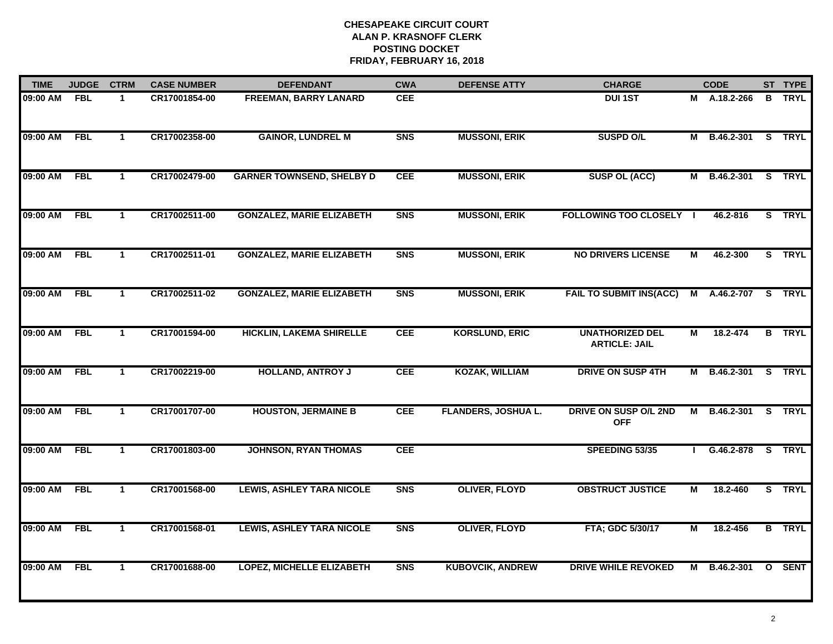| <b>TIME</b> | <b>JUDGE</b> | <b>CTRM</b>  | <b>CASE NUMBER</b> | <b>DEFENDANT</b>                 | <b>CWA</b> | <b>DEFENSE ATTY</b>        | <b>CHARGE</b>                                  |   | <b>CODE</b>         |   | ST TYPE       |
|-------------|--------------|--------------|--------------------|----------------------------------|------------|----------------------------|------------------------------------------------|---|---------------------|---|---------------|
| 09:00 AM    | <b>FBL</b>   | -1           | CR17001854-00      | <b>FREEMAN, BARRY LANARD</b>     | <b>CEE</b> |                            | <b>DUI 1ST</b>                                 |   | M A.18.2-266        | B | <b>TRYL</b>   |
| 09:00 AM    | <b>FBL</b>   | $\mathbf{1}$ | CR17002358-00      | <b>GAINOR, LUNDREL M</b>         | <b>SNS</b> | <b>MUSSONI, ERIK</b>       | <b>SUSPD O/L</b>                               |   | M B.46.2-301 S TRYL |   |               |
| 09:00 AM    | <b>FBL</b>   | $\mathbf{1}$ | CR17002479-00      | <b>GARNER TOWNSEND, SHELBY D</b> | <b>CEE</b> | <b>MUSSONI, ERIK</b>       | <b>SUSP OL (ACC)</b>                           | М | B.46.2-301          |   | S TRYL        |
| 09:00 AM    | <b>FBL</b>   | $\mathbf{1}$ | CR17002511-00      | <b>GONZALEZ, MARIE ELIZABETH</b> | <b>SNS</b> | <b>MUSSONI, ERIK</b>       | <b>FOLLOWING TOO CLOSELY  </b>                 |   | 46.2-816            |   | S TRYL        |
| 09:00 AM    | <b>FBL</b>   | $\mathbf{1}$ | CR17002511-01      | <b>GONZALEZ, MARIE ELIZABETH</b> | <b>SNS</b> | <b>MUSSONI, ERIK</b>       | <b>NO DRIVERS LICENSE</b>                      | М | 46.2-300            |   | S TRYL        |
| 09:00 AM    | <b>FBL</b>   | $\mathbf{1}$ | CR17002511-02      | <b>GONZALEZ, MARIE ELIZABETH</b> | <b>SNS</b> | <b>MUSSONI, ERIK</b>       | <b>FAIL TO SUBMIT INS(ACC)</b>                 |   | M A.46.2-707 S TRYL |   |               |
| 09:00 AM    | <b>FBL</b>   | $\mathbf{1}$ | CR17001594-00      | <b>HICKLIN, LAKEMA SHIRELLE</b>  | <b>CEE</b> | <b>KORSLUND, ERIC</b>      | <b>UNATHORIZED DEL</b><br><b>ARTICLE: JAIL</b> | М | 18.2-474            |   | <b>B</b> TRYL |
| 09:00 AM    | <b>FBL</b>   | $\mathbf{1}$ | CR17002219-00      | <b>HOLLAND, ANTROY J</b>         | <b>CEE</b> | <b>KOZAK, WILLIAM</b>      | <b>DRIVE ON SUSP 4TH</b>                       |   | M B.46.2-301        |   | S TRYL        |
| 09:00 AM    | <b>FBL</b>   | $\mathbf 1$  | CR17001707-00      | <b>HOUSTON, JERMAINE B</b>       | <b>CEE</b> | <b>FLANDERS, JOSHUA L.</b> | DRIVE ON SUSP O/L 2ND<br><b>OFF</b>            | M | B.46.2-301          |   | S TRYL        |
| 09:00 AM    | <b>FBL</b>   | $\mathbf{1}$ | CR17001803-00      | <b>JOHNSON, RYAN THOMAS</b>      | <b>CEE</b> |                            | SPEEDING 53/35                                 |   | $G.46.2 - 878$      |   | S TRYL        |
| 09:00 AM    | <b>FBL</b>   | $\mathbf{1}$ | CR17001568-00      | <b>LEWIS, ASHLEY TARA NICOLE</b> | <b>SNS</b> | <b>OLIVER, FLOYD</b>       | <b>OBSTRUCT JUSTICE</b>                        | М | 18.2-460            |   | S TRYL        |
| 09:00 AM    | <b>FBL</b>   | $\mathbf{1}$ | CR17001568-01      | <b>LEWIS, ASHLEY TARA NICOLE</b> | <b>SNS</b> | <b>OLIVER, FLOYD</b>       | FTA; GDC 5/30/17                               | М | 18.2-456            |   | <b>B</b> TRYL |
| 09:00 AM    | <b>FBL</b>   | $\mathbf{1}$ | CR17001688-00      | <b>LOPEZ, MICHELLE ELIZABETH</b> | <b>SNS</b> | <b>KUBOVCIK, ANDREW</b>    | <b>DRIVE WHILE REVOKED</b>                     | M | B.46.2-301          |   | <b>O</b> SENT |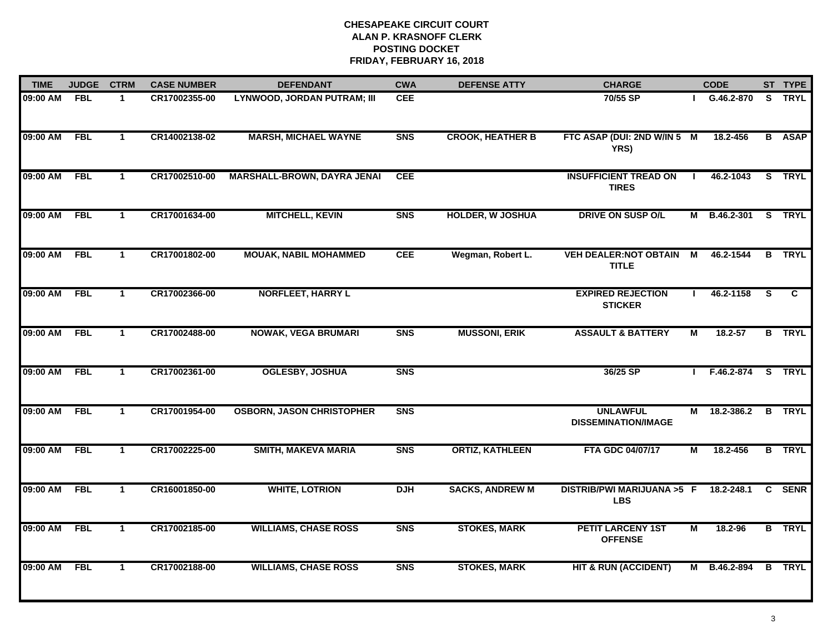| <b>TIME</b> | <b>JUDGE</b> | <b>CTRM</b>          | <b>CASE NUMBER</b> | <b>DEFENDANT</b>                   | <b>CWA</b>     | <b>DEFENSE ATTY</b>     | <b>CHARGE</b>                                       |              | <b>CODE</b>         |          | ST TYPE       |
|-------------|--------------|----------------------|--------------------|------------------------------------|----------------|-------------------------|-----------------------------------------------------|--------------|---------------------|----------|---------------|
| 09:00 AM    | <b>FBL</b>   | -1                   | CR17002355-00      | <b>LYNWOOD, JORDAN PUTRAM; III</b> | <b>CEE</b>     |                         | 70/55 SP                                            |              | G.46.2-870          |          | S TRYL        |
| 09:00 AM    | <b>FBL</b>   | $\blacktriangleleft$ | CR14002138-02      | <b>MARSH, MICHAEL WAYNE</b>        | <b>SNS</b>     | <b>CROOK, HEATHER B</b> | FTC ASAP (DUI: 2ND W/IN 5 M<br>YRS)                 |              | 18.2-456            |          | <b>B</b> ASAP |
| 09:00 AM    | <b>FBL</b>   | $\mathbf{1}$         | CR17002510-00      | MARSHALL-BROWN, DAYRA JENAI        | <b>CEE</b>     |                         | <b>INSUFFICIENT TREAD ON</b><br><b>TIRES</b>        |              | 46.2-1043           |          | S TRYL        |
| 09:00 AM    | <b>FBL</b>   | $\mathbf{1}$         | CR17001634-00      | <b>MITCHELL, KEVIN</b>             | S <sub>N</sub> | <b>HOLDER, W JOSHUA</b> | <b>DRIVE ON SUSP O/L</b>                            |              | M B.46.2-301        |          | S TRYL        |
| 09:00 AM    | <b>FBL</b>   | $\mathbf{1}$         | CR17001802-00      | <b>MOUAK, NABIL MOHAMMED</b>       | <b>CEE</b>     | Wegman, Robert L.       | <b>VEH DEALER: NOT OBTAIN</b><br><b>TITLE</b>       | М            | 46.2-1544           |          | <b>B</b> TRYL |
| 09:00 AM    | <b>FBL</b>   | $\mathbf{1}$         | CR17002366-00      | <b>NORFLEET, HARRY L</b>           |                |                         | <b>EXPIRED REJECTION</b><br><b>STICKER</b>          | $\mathbf{I}$ | 46.2-1158           | <b>S</b> | C.            |
| 09:00 AM    | <b>FBL</b>   | $\mathbf{1}$         | CR17002488-00      | <b>NOWAK, VEGA BRUMARI</b>         | <b>SNS</b>     | <b>MUSSONI, ERIK</b>    | <b>ASSAULT &amp; BATTERY</b>                        | М            | 18.2-57             |          | <b>B</b> TRYL |
| 09:00 AM    | <b>FBL</b>   | $\mathbf{1}$         | CR17002361-00      | <b>OGLESBY, JOSHUA</b>             | <b>SNS</b>     |                         | 36/25 SP                                            |              | I F.46.2-874 S TRYL |          |               |
| 09:00 AM    | <b>FBL</b>   | $\mathbf 1$          | CR17001954-00      | <b>OSBORN, JASON CHRISTOPHER</b>   | <b>SNS</b>     |                         | <b>UNLAWFUL</b><br><b>DISSEMINATION/IMAGE</b>       | М            | 18.2-386.2          |          | <b>B</b> TRYL |
| 09:00 AM    | <b>FBL</b>   | $\mathbf{1}$         | CR17002225-00      | <b>SMITH, MAKEVA MARIA</b>         | S <sub>N</sub> | <b>ORTIZ, KATHLEEN</b>  | FTA GDC 04/07/17                                    | М            | 18.2-456            |          | <b>B</b> TRYL |
| 09:00 AM    | <b>FBL</b>   | $\mathbf{1}$         | CR16001850-00      | <b>WHITE, LOTRION</b>              | <b>DJH</b>     | <b>SACKS, ANDREW M</b>  | DISTRIB/PWI MARIJUANA >5 F 18.2-248.1<br><b>LBS</b> |              |                     |          | C SENR        |
| 09:00 AM    | <b>FBL</b>   | $\mathbf{1}$         | CR17002185-00      | <b>WILLIAMS, CHASE ROSS</b>        | <b>SNS</b>     | <b>STOKES, MARK</b>     | <b>PETIT LARCENY 1ST</b><br><b>OFFENSE</b>          | М            | 18.2-96             |          | <b>B</b> TRYL |
| 09:00 AM    | <b>FBL</b>   | $\mathbf{1}$         | CR17002188-00      | <b>WILLIAMS, CHASE ROSS</b>        | <b>SNS</b>     | <b>STOKES, MARK</b>     | <b>HIT &amp; RUN (ACCIDENT)</b>                     |              | M B.46.2-894        |          | <b>B</b> TRYL |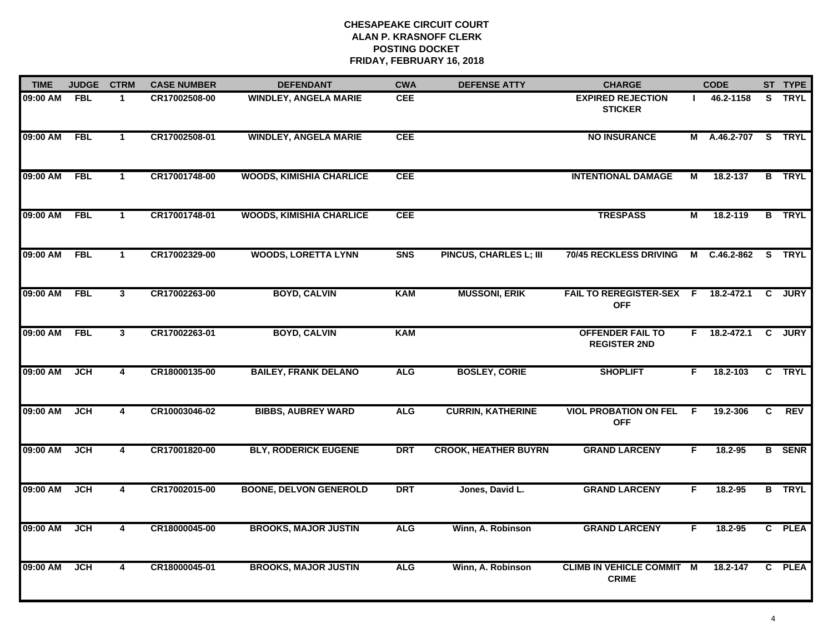| <b>TIME</b> | <b>JUDGE</b> | <b>CTRM</b>             | <b>CASE NUMBER</b> | <b>DEFENDANT</b>                | <b>CWA</b>     | <b>DEFENSE ATTY</b>           | <b>CHARGE</b>                                     |    | <b>CODE</b>         |                | ST TYPE       |
|-------------|--------------|-------------------------|--------------------|---------------------------------|----------------|-------------------------------|---------------------------------------------------|----|---------------------|----------------|---------------|
| 09:00 AM    | <b>FBL</b>   | $\mathbf 1$             | CR17002508-00      | <b>WINDLEY, ANGELA MARIE</b>    | <b>CEE</b>     |                               | <b>EXPIRED REJECTION</b><br><b>STICKER</b>        |    | 46.2-1158           |                | S TRYL        |
| 09:00 AM    | <b>FBL</b>   | $\blacktriangleleft$    | CR17002508-01      | <b>WINDLEY, ANGELA MARIE</b>    | <b>CEE</b>     |                               | <b>NO INSURANCE</b>                               |    | M A.46.2-707 S TRYL |                |               |
| 09:00 AM    | <b>FBL</b>   | $\mathbf{1}$            | CR17001748-00      | <b>WOODS, KIMISHIA CHARLICE</b> | <b>CEE</b>     |                               | <b>INTENTIONAL DAMAGE</b>                         | М  | 18.2-137            |                | <b>B</b> TRYL |
| 09:00 AM    | <b>FBL</b>   | $\mathbf 1$             | CR17001748-01      | <b>WOODS, KIMISHIA CHARLICE</b> | <b>CEE</b>     |                               | <b>TRESPASS</b>                                   | М  | 18.2-119            |                | <b>B</b> TRYL |
| 09:00 AM    | <b>FBL</b>   | $\mathbf{1}$            | CR17002329-00      | <b>WOODS, LORETTA LYNN</b>      | S <sub>N</sub> | <b>PINCUS, CHARLES L; III</b> | 70/45 RECKLESS DRIVING                            |    | M C.46.2-862        |                | S TRYL        |
| 09:00 AM    | <b>FBL</b>   | $\mathbf{3}$            | CR17002263-00      | <b>BOYD, CALVIN</b>             | <b>KAM</b>     | <b>MUSSONI, ERIK</b>          | FAIL TO REREGISTER-SEX F 18.2-472.1<br><b>OFF</b> |    |                     | $\mathbf{C}$   | <b>JURY</b>   |
| 09:00 AM    | <b>FBL</b>   | $\overline{\mathbf{3}}$ | CR17002263-01      | <b>BOYD, CALVIN</b>             | <b>KAM</b>     |                               | <b>OFFENDER FAIL TO</b><br><b>REGISTER 2ND</b>    |    | $F = 18.2 - 472.1$  | $\overline{c}$ | <b>JURY</b>   |
| 09:00 AM    | JCH          | $\overline{\mathbf{4}}$ | CR18000135-00      | <b>BAILEY, FRANK DELANO</b>     | <b>ALG</b>     | <b>BOSLEY, CORIE</b>          | <b>SHOPLIFT</b>                                   | F. | 18.2-103            |                | C TRYL        |
| 09:00 AM    | JCH          | 4                       | CR10003046-02      | <b>BIBBS, AUBREY WARD</b>       | <b>ALG</b>     | <b>CURRIN, KATHERINE</b>      | <b>VIOL PROBATION ON FEL</b><br><b>OFF</b>        | -F | 19.2-306            | C              | <b>REV</b>    |
| 09:00 AM    | <b>JCH</b>   | 4                       | CR17001820-00      | <b>BLY, RODERICK EUGENE</b>     | <b>DRT</b>     | <b>CROOK, HEATHER BUYRN</b>   | <b>GRAND LARCENY</b>                              | F. | 18.2-95             |                | <b>B</b> SENR |
| 09:00 AM    | <b>JCH</b>   | 4                       | CR17002015-00      | <b>BOONE, DELVON GENEROLD</b>   | <b>DRT</b>     | Jones, David L.               | <b>GRAND LARCENY</b>                              | F. | 18.2-95             |                | <b>B</b> TRYL |
| 09:00 AM    | <b>JCH</b>   | $\overline{\mathbf{4}}$ | CR18000045-00      | <b>BROOKS, MAJOR JUSTIN</b>     | <b>ALG</b>     | Winn, A. Robinson             | <b>GRAND LARCENY</b>                              | F. | 18.2-95             |                | C PLEA        |
| 09:00 AM    | <b>JCH</b>   | 4                       | CR18000045-01      | <b>BROOKS, MAJOR JUSTIN</b>     | <b>ALG</b>     | Winn, A. Robinson             | <b>CLIMB IN VEHICLE COMMIT M</b><br><b>CRIME</b>  |    | 18.2-147            |                | C PLEA        |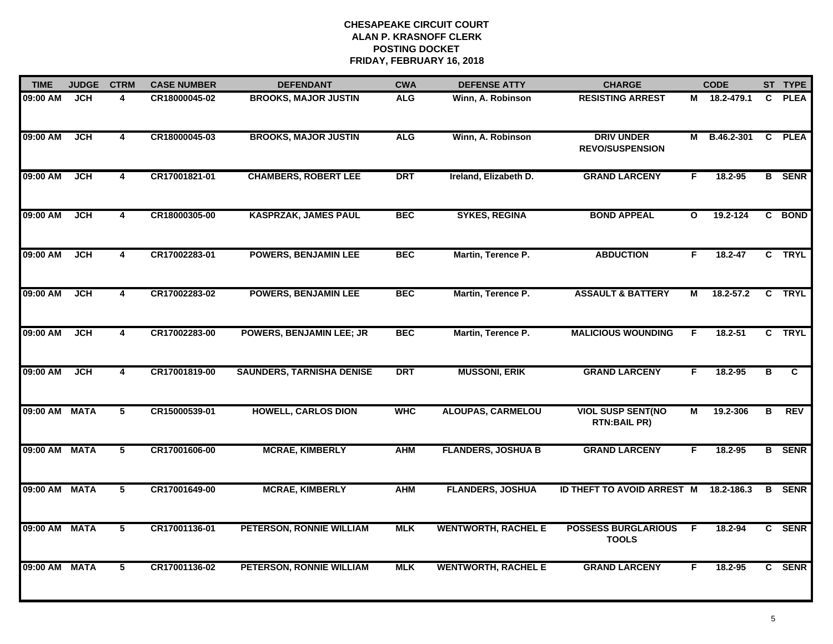| <b>TIME</b> | <b>JUDGE</b> | <b>CTRM</b>             | <b>CASE NUMBER</b> | <b>DEFENDANT</b>                 | <b>CWA</b> | <b>DEFENSE ATTY</b>        | <b>CHARGE</b>                                   |              | <b>CODE</b>  |                | ST TYPE       |
|-------------|--------------|-------------------------|--------------------|----------------------------------|------------|----------------------------|-------------------------------------------------|--------------|--------------|----------------|---------------|
| 09:00 AM    | <b>JCH</b>   | $\overline{\mathbf{A}}$ | CR18000045-02      | <b>BROOKS, MAJOR JUSTIN</b>      | <b>ALG</b> | Winn, A. Robinson          | <b>RESISTING ARREST</b>                         |              | M 18.2-479.1 | C              | <b>PLEA</b>   |
| 09:00 AM    | <b>JCH</b>   | 4                       | CR18000045-03      | <b>BROOKS, MAJOR JUSTIN</b>      | <b>ALG</b> | Winn, A. Robinson          | <b>DRIV UNDER</b><br><b>REVO/SUSPENSION</b>     | М            | B.46.2-301   | $\mathbf{C}$   | <b>PLEA</b>   |
| 09:00 AM    | <b>JCH</b>   | $\overline{\mathbf{4}}$ | CR17001821-01      | <b>CHAMBERS, ROBERT LEE</b>      | <b>DRT</b> | Ireland, Elizabeth D.      | <b>GRAND LARCENY</b>                            | F.           | 18.2-95      |                | <b>B</b> SENR |
| 09:00 AM    | <b>JCH</b>   | 4                       | CR18000305-00      | <b>KASPRZAK, JAMES PAUL</b>      | <b>BEC</b> | <b>SYKES, REGINA</b>       | <b>BOND APPEAL</b>                              | $\mathbf{o}$ | 19.2-124     |                | C BOND        |
| 09:00 AM    | <b>JCH</b>   | 4                       | CR17002283-01      | <b>POWERS, BENJAMIN LEE</b>      | <b>BEC</b> | Martin, Terence P.         | <b>ABDUCTION</b>                                | F.           | 18.2-47      |                | C TRYL        |
| 09:00 AM    | <b>JCH</b>   | $\overline{4}$          | CR17002283-02      | <b>POWERS, BENJAMIN LEE</b>      | <b>BEC</b> | Martin, Terence P.         | <b>ASSAULT &amp; BATTERY</b>                    | М            | 18.2-57.2    | C              | <b>TRYL</b>   |
| 09:00 AM    | <b>JCH</b>   | $\overline{\mathbf{4}}$ | CR17002283-00      | <b>POWERS, BENJAMIN LEE; JR</b>  | <b>BEC</b> | Martin, Terence P.         | <b>MALICIOUS WOUNDING</b>                       | F.           | $18.2 - 51$  | $\overline{c}$ | <b>TRYL</b>   |
| 09:00 AM    | JCH          | $\overline{\mathbf{4}}$ | CR17001819-00      | <b>SAUNDERS, TARNISHA DENISE</b> | <b>DRT</b> | <b>MUSSONI, ERIK</b>       | <b>GRAND LARCENY</b>                            | F            | 18.2-95      | в              | C             |
| 09:00 AM    | <b>MATA</b>  | 5                       | CR15000539-01      | <b>HOWELL, CARLOS DION</b>       | <b>WHC</b> | <b>ALOUPAS, CARMELOU</b>   | <b>VIOL SUSP SENT(NO</b><br><b>RTN:BAIL PR)</b> | M            | 19.2-306     | в              | <b>REV</b>    |
| 09:00 AM    | <b>MATA</b>  | 5                       | CR17001606-00      | <b>MCRAE, KIMBERLY</b>           | <b>AHM</b> | <b>FLANDERS, JOSHUA B</b>  | <b>GRAND LARCENY</b>                            | F            | 18.2-95      |                | <b>B</b> SENR |
| 09:00 AM    | <b>MATA</b>  | 5                       | CR17001649-00      | <b>MCRAE, KIMBERLY</b>           | <b>AHM</b> | <b>FLANDERS, JOSHUA</b>    | ID THEFT TO AVOID ARREST M                      |              | 18.2-186.3   | В              | <b>SENR</b>   |
| 09:00 AM    | <b>MATA</b>  | $\overline{5}$          | CR17001136-01      | PETERSON, RONNIE WILLIAM         | <b>MLK</b> | <b>WENTWORTH, RACHEL E</b> | <b>POSSESS BURGLARIOUS</b><br><b>TOOLS</b>      | E            | 18.2-94      |                | C SENR        |
| 09:00 AM    | <b>MATA</b>  | 5                       | CR17001136-02      | PETERSON, RONNIE WILLIAM         | <b>MLK</b> | <b>WENTWORTH, RACHEL E</b> | <b>GRAND LARCENY</b>                            | F            | 18.2-95      |                | C SENR        |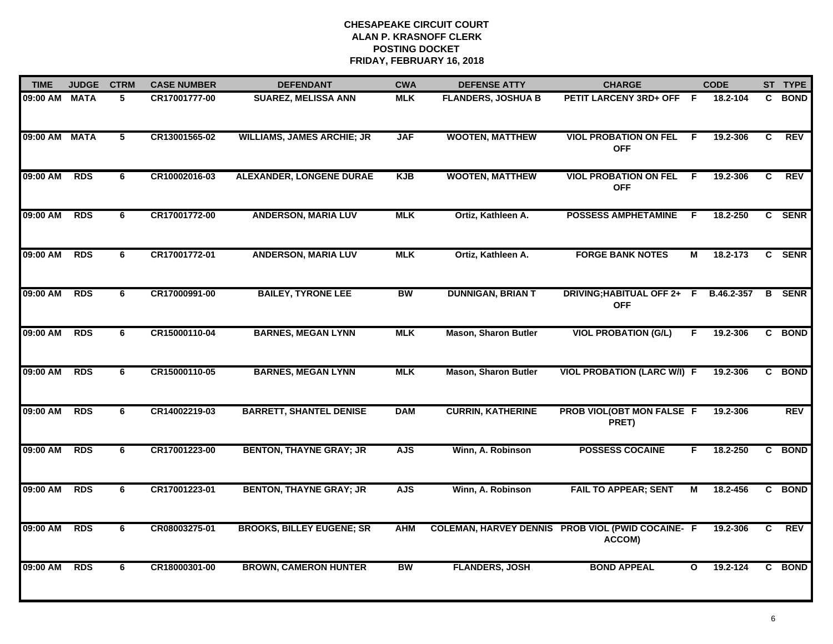| <b>TIME</b> | <b>JUDGE</b> | <b>CTRM</b> | <b>CASE NUMBER</b> | <b>DEFENDANT</b>                  | <b>CWA</b> | <b>DEFENSE ATTY</b>           | <b>CHARGE</b>                               |              | <b>CODE</b> |                | ST TYPE     |
|-------------|--------------|-------------|--------------------|-----------------------------------|------------|-------------------------------|---------------------------------------------|--------------|-------------|----------------|-------------|
| 09:00 AM    | <b>MATA</b>  | 5           | CR17001777-00      | <b>SUAREZ, MELISSA ANN</b>        | <b>MLK</b> | <b>FLANDERS, JOSHUA B</b>     | PETIT LARCENY 3RD+ OFF F                    |              | 18.2-104    | C.             | <b>BOND</b> |
| 09:00 AM    | <b>MATA</b>  | 5           | CR13001565-02      | <b>WILLIAMS, JAMES ARCHIE; JR</b> | <b>JAF</b> | <b>WOOTEN, MATTHEW</b>        | <b>VIOL PROBATION ON FEL</b><br><b>OFF</b>  | -F           | 19.2-306    | C.             | <b>REV</b>  |
| 09:00 AM    | <b>RDS</b>   | 6           | CR10002016-03      | <b>ALEXANDER, LONGENE DURAE</b>   | <b>KJB</b> | <b>WOOTEN, MATTHEW</b>        | <b>VIOL PROBATION ON FEL</b><br><b>OFF</b>  | -F           | 19.2-306    | $\overline{c}$ | <b>REV</b>  |
| 09:00 AM    | <b>RDS</b>   | 6           | CR17001772-00      | <b>ANDERSON, MARIA LUV</b>        | <b>MLK</b> | Ortiz, Kathleen A.            | <b>POSSESS AMPHETAMINE</b>                  | F            | 18.2-250    |                | C SENR      |
| 09:00 AM    | <b>RDS</b>   | 6           | CR17001772-01      | <b>ANDERSON, MARIA LUV</b>        | <b>MLK</b> | Ortiz, Kathleen A.            | <b>FORGE BANK NOTES</b>                     | М            | 18.2-173    |                | C SENR      |
| 09:00 AM    | <b>RDS</b>   | 6           | CR17000991-00      | <b>BAILEY, TYRONE LEE</b>         | <b>BW</b>  | <b>DUNNIGAN, BRIAN T</b>      | DRIVING; HABITUAL OFF 2+ F<br><b>OFF</b>    |              | B.46.2-357  | В              | <b>SENR</b> |
| 09:00 AM    | <b>RDS</b>   | 6           | CR15000110-04      | <b>BARNES, MEGAN LYNN</b>         | <b>MLK</b> | Mason, Sharon Butler          | <b>VIOL PROBATION (G/L)</b>                 | F            | 19.2-306    | C              | <b>BOND</b> |
| 09:00 AM    | <b>RDS</b>   | 6           | CR15000110-05      | <b>BARNES, MEGAN LYNN</b>         | <b>MLK</b> | <b>Mason, Sharon Butler</b>   | <b>VIOL PROBATION (LARC W/I) F</b>          |              | 19.2-306    |                | C BOND      |
| 09:00 AM    | <b>RDS</b>   | 6           | CR14002219-03      | <b>BARRETT, SHANTEL DENISE</b>    | <b>DAM</b> | <b>CURRIN, KATHERINE</b>      | PROB VIOL(OBT MON FALSE F<br>PRET)          |              | 19.2-306    |                | <b>REV</b>  |
| 09:00 AM    | <b>RDS</b>   | 6           | CR17001223-00      | <b>BENTON, THAYNE GRAY; JR</b>    | <b>AJS</b> | Winn, A. Robinson             | <b>POSSESS COCAINE</b>                      | F            | 18.2-250    | C              | <b>BOND</b> |
| 09:00 AM    | <b>RDS</b>   | 6           | CR17001223-01      | <b>BENTON, THAYNE GRAY; JR</b>    | <b>AJS</b> | Winn, A. Robinson             | <b>FAIL TO APPEAR; SENT</b>                 | м            | 18.2-456    |                | C BOND      |
| 09:00 AM    | <b>RDS</b>   | 6           | CR08003275-01      | <b>BROOKS, BILLEY EUGENE; SR</b>  | <b>AHM</b> | <b>COLEMAN, HARVEY DENNIS</b> | <b>PROB VIOL (PWID COCAINE- F</b><br>ACCOM) |              | 19.2-306    | C.             | <b>REV</b>  |
| 09:00 AM    | <b>RDS</b>   | 6           | CR18000301-00      | <b>BROWN, CAMERON HUNTER</b>      | <b>BW</b>  | <b>FLANDERS, JOSH</b>         | <b>BOND APPEAL</b>                          | $\mathbf{o}$ | 19.2-124    |                | C BOND      |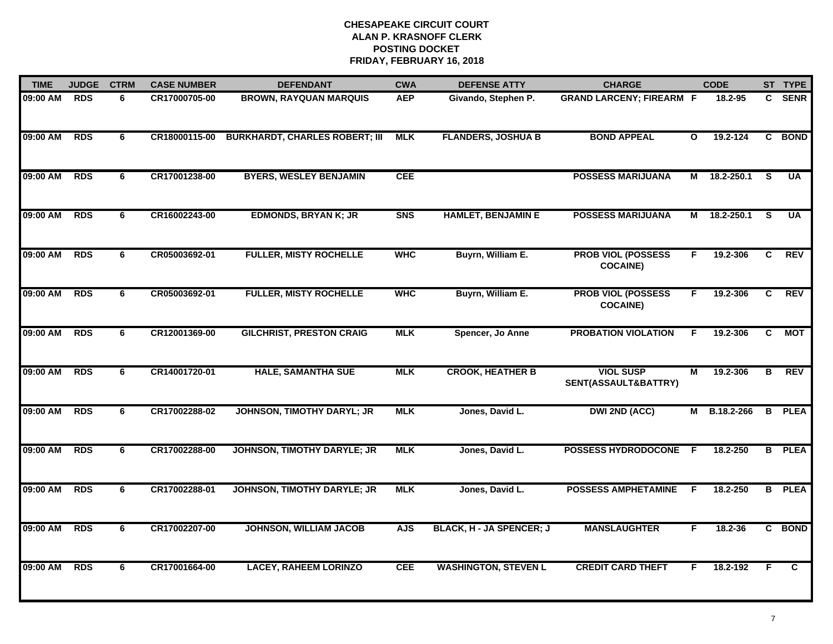| <b>TIME</b> | <b>JUDGE</b> | <b>CTRM</b> | <b>CASE NUMBER</b> | <b>DEFENDANT</b>                      | <b>CWA</b> | <b>DEFENSE ATTY</b>         | <b>CHARGE</b>                                |              | <b>CODE</b> |    | ST TYPE       |
|-------------|--------------|-------------|--------------------|---------------------------------------|------------|-----------------------------|----------------------------------------------|--------------|-------------|----|---------------|
| 09:00 AM    | <b>RDS</b>   | 6           | CR17000705-00      | <b>BROWN, RAYQUAN MARQUIS</b>         | <b>AEP</b> | Givando, Stephen P.         | <b>GRAND LARCENY; FIREARM F</b>              |              | 18.2-95     |    | C SENR        |
| 09:00 AM    | <b>RDS</b>   | 6           | CR18000115-00      | <b>BURKHARDT, CHARLES ROBERT; III</b> | <b>MLK</b> | <b>FLANDERS, JOSHUA B</b>   | <b>BOND APPEAL</b>                           | $\mathbf{o}$ | 19.2-124    |    | C BOND        |
| 09:00 AM    | <b>RDS</b>   | 6           | CR17001238-00      | <b>BYERS, WESLEY BENJAMIN</b>         | <b>CEE</b> |                             | <b>POSSESS MARIJUANA</b>                     | М            | 18.2-250.1  | S  | <b>UA</b>     |
| 09:00 AM    | <b>RDS</b>   | 6           | CR16002243-00      | <b>EDMONDS, BRYAN K; JR</b>           | <b>SNS</b> | <b>HAMLET, BENJAMIN E</b>   | <b>POSSESS MARIJUANA</b>                     | М            | 18.2-250.1  | S  | <b>UA</b>     |
| 09:00 AM    | <b>RDS</b>   | 6           | CR05003692-01      | <b>FULLER, MISTY ROCHELLE</b>         | <b>WHC</b> | Buyrn, William E.           | <b>PROB VIOL (POSSESS</b><br><b>COCAINE)</b> | F.           | 19.2-306    | C  | <b>REV</b>    |
| 09:00 AM    | <b>RDS</b>   | 6           | CR05003692-01      | <b>FULLER, MISTY ROCHELLE</b>         | <b>WHC</b> | Buyrn, William E.           | <b>PROB VIOL (POSSESS</b><br><b>COCAINE)</b> | F.           | 19.2-306    | C. | <b>REV</b>    |
| 09:00 AM    | <b>RDS</b>   | 6           | CR12001369-00      | <b>GILCHRIST, PRESTON CRAIG</b>       | <b>MLK</b> | Spencer, Jo Anne            | <b>PROBATION VIOLATION</b>                   | F            | 19.2-306    | C  | <b>MOT</b>    |
| 09:00 AM    | <b>RDS</b>   | 6           | CR14001720-01      | <b>HALE, SAMANTHA SUE</b>             | <b>MLK</b> | <b>CROOK, HEATHER B</b>     | <b>VIOL SUSP</b><br>SENT(ASSAULT&BATTRY)     | М            | 19.2-306    | в  | <b>REV</b>    |
| 09:00 AM    | <b>RDS</b>   | 6           | CR17002288-02      | <b>JOHNSON, TIMOTHY DARYL; JR</b>     | <b>MLK</b> | Jones, David L.             | <b>DWI 2ND (ACC)</b>                         | М            | B.18.2-266  | В  | <b>PLEA</b>   |
| 09:00 AM    | <b>RDS</b>   | 6           | CR17002288-00      | <b>JOHNSON, TIMOTHY DARYLE; JR</b>    | <b>MLK</b> | Jones, David L.             | <b>POSSESS HYDRODOCONE</b>                   | E            | 18.2-250    |    | <b>B</b> PLEA |
| 09:00 AM    | <b>RDS</b>   | 6           | CR17002288-01      | <b>JOHNSON, TIMOTHY DARYLE; JR</b>    | <b>MLK</b> | Jones, David L.             | <b>POSSESS AMPHETAMINE</b>                   | F            | 18.2-250    |    | <b>B</b> PLEA |
| 09:00 AM    | <b>RDS</b>   | 6           | CR17002207-00      | <b>JOHNSON, WILLIAM JACOB</b>         | <b>AJS</b> | BLACK, H - JA SPENCER; J    | <b>MANSLAUGHTER</b>                          | F.           | $18.2 - 36$ |    | C BOND        |
| 09:00 AM    | <b>RDS</b>   | 6           | CR17001664-00      | <b>LACEY, RAHEEM LORINZO</b>          | <b>CEE</b> | <b>WASHINGTON, STEVEN L</b> | <b>CREDIT CARD THEFT</b>                     | F.           | 18.2-192    | F  | C             |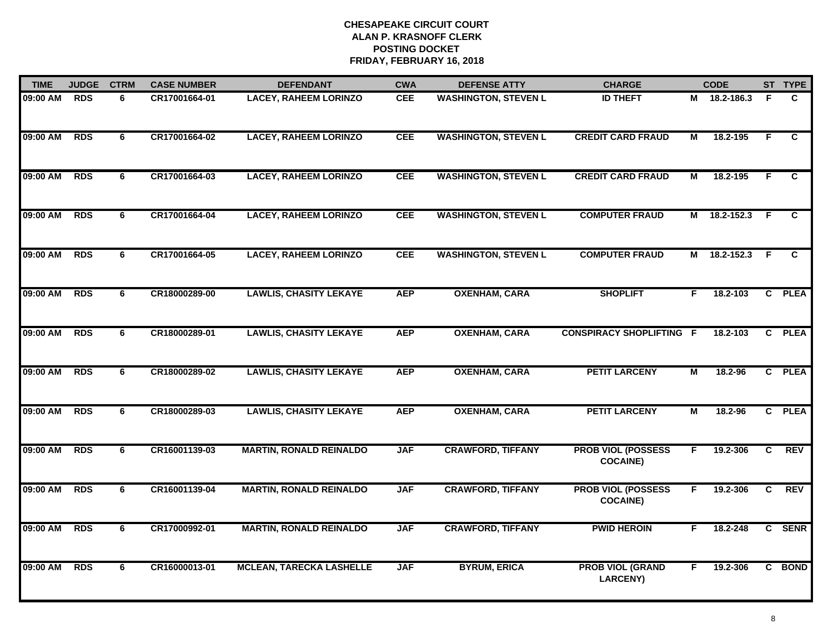| <b>TIME</b> | <b>JUDGE</b> | <b>CTRM</b> | <b>CASE NUMBER</b> | <b>DEFENDANT</b>                | <b>CWA</b> | <b>DEFENSE ATTY</b>         | <b>CHARGE</b>                                |                | <b>CODE</b>  |     | ST TYPE        |
|-------------|--------------|-------------|--------------------|---------------------------------|------------|-----------------------------|----------------------------------------------|----------------|--------------|-----|----------------|
| 09:00 AM    | <b>RDS</b>   | 6           | CR17001664-01      | <b>LACEY, RAHEEM LORINZO</b>    | CEE        | <b>WASHINGTON, STEVEN L</b> | <b>ID THEFT</b>                              |                | M 18.2-186.3 | F   | C              |
| 09:00 AM    | <b>RDS</b>   | 6           | CR17001664-02      | <b>LACEY, RAHEEM LORINZO</b>    | <b>CEE</b> | <b>WASHINGTON, STEVEN L</b> | <b>CREDIT CARD FRAUD</b>                     | М              | 18.2-195     | F   | C.             |
| 09:00 AM    | <b>RDS</b>   | 6           | CR17001664-03      | <b>LACEY, RAHEEM LORINZO</b>    | <b>CEE</b> | <b>WASHINGTON, STEVEN L</b> | <b>CREDIT CARD FRAUD</b>                     | $\overline{M}$ | 18.2-195     | F   | $\overline{c}$ |
| 09:00 AM    | <b>RDS</b>   | 6           | CR17001664-04      | <b>LACEY, RAHEEM LORINZO</b>    | <b>CEE</b> | <b>WASHINGTON, STEVEN L</b> | <b>COMPUTER FRAUD</b>                        |                | M 18.2-152.3 | - F | C              |
| 09:00 AM    | <b>RDS</b>   | 6           | CR17001664-05      | <b>LACEY, RAHEEM LORINZO</b>    | <b>CEE</b> | <b>WASHINGTON, STEVEN L</b> | <b>COMPUTER FRAUD</b>                        | М              | 18.2-152.3   | F.  | C              |
| 09:00 AM    | <b>RDS</b>   | 6           | CR18000289-00      | <b>LAWLIS, CHASITY LEKAYE</b>   | <b>AEP</b> | <b>OXENHAM, CARA</b>        | <b>SHOPLIFT</b>                              | F.             | 18.2-103     |     | C PLEA         |
| 09:00 AM    | <b>RDS</b>   | 6           | CR18000289-01      | <b>LAWLIS, CHASITY LEKAYE</b>   | <b>AEP</b> | <b>OXENHAM, CARA</b>        | <b>CONSPIRACY SHOPLIFTING F</b>              |                | 18.2-103     |     | C PLEA         |
| 09:00 AM    | <b>RDS</b>   | 6           | CR18000289-02      | <b>LAWLIS, CHASITY LEKAYE</b>   | <b>AEP</b> | <b>OXENHAM, CARA</b>        | <b>PETIT LARCENY</b>                         | M              | 18.2-96      |     | C PLEA         |
| 09:00 AM    | <b>RDS</b>   | 6           | CR18000289-03      | <b>LAWLIS, CHASITY LEKAYE</b>   | <b>AEP</b> | <b>OXENHAM, CARA</b>        | <b>PETIT LARCENY</b>                         | M              | 18.2-96      |     | C PLEA         |
| 09:00 AM    | <b>RDS</b>   | 6           | CR16001139-03      | <b>MARTIN, RONALD REINALDO</b>  | <b>JAF</b> | <b>CRAWFORD, TIFFANY</b>    | <b>PROB VIOL (POSSESS</b><br><b>COCAINE)</b> | F.             | 19.2-306     | C   | <b>REV</b>     |
| 09:00 AM    | <b>RDS</b>   | 6           | CR16001139-04      | <b>MARTIN, RONALD REINALDO</b>  | <b>JAF</b> | <b>CRAWFORD, TIFFANY</b>    | <b>PROB VIOL (POSSESS</b><br><b>COCAINE)</b> | F.             | 19.2-306     | C.  | <b>REV</b>     |
| 09:00 AM    | <b>RDS</b>   | 6           | CR17000992-01      | <b>MARTIN, RONALD REINALDO</b>  | <b>JAF</b> | <b>CRAWFORD, TIFFANY</b>    | <b>PWID HEROIN</b>                           | F              | 18.2-248     |     | C SENR         |
| 09:00 AM    | <b>RDS</b>   | 6           | CR16000013-01      | <b>MCLEAN, TARECKA LASHELLE</b> | <b>JAF</b> | <b>BYRUM, ERICA</b>         | <b>PROB VIOL (GRAND</b><br><b>LARCENY)</b>   | F.             | 19.2-306     |     | C BOND         |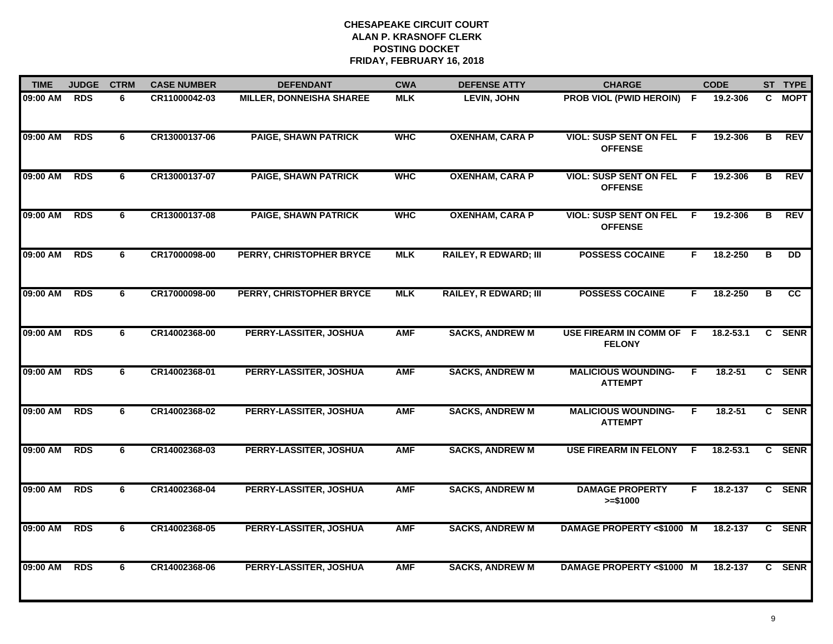| <b>TIME</b> | <b>JUDGE</b> | <b>CTRM</b> | <b>CASE NUMBER</b> | <b>DEFENDANT</b>                | <b>CWA</b> | <b>DEFENSE ATTY</b>          | <b>CHARGE</b>                                   |    | <b>CODE</b> |   | ST TYPE     |
|-------------|--------------|-------------|--------------------|---------------------------------|------------|------------------------------|-------------------------------------------------|----|-------------|---|-------------|
| 09:00 AM    | <b>RDS</b>   | 6           | CR11000042-03      | <b>MILLER, DONNEISHA SHAREE</b> | <b>MLK</b> | <b>LEVIN, JOHN</b>           | <b>PROB VIOL (PWID HEROIN) F</b>                |    | 19.2-306    |   | C MOPT      |
| 09:00 AM    | <b>RDS</b>   | 6           | CR13000137-06      | <b>PAIGE, SHAWN PATRICK</b>     | <b>WHC</b> | <b>OXENHAM, CARA P</b>       | <b>VIOL: SUSP SENT ON FEL</b><br><b>OFFENSE</b> | F. | 19.2-306    | B | <b>REV</b>  |
| 09:00 AM    | <b>RDS</b>   | 6           | CR13000137-07      | <b>PAIGE, SHAWN PATRICK</b>     | <b>WHC</b> | <b>OXENHAM, CARA P</b>       | <b>VIOL: SUSP SENT ON FEL</b><br><b>OFFENSE</b> | F. | 19.2-306    | B | <b>REV</b>  |
| 09:00 AM    | <b>RDS</b>   | 6           | CR13000137-08      | <b>PAIGE, SHAWN PATRICK</b>     | <b>WHC</b> | <b>OXENHAM, CARA P</b>       | <b>VIOL: SUSP SENT ON FEL</b><br><b>OFFENSE</b> | F. | 19.2-306    | B | <b>REV</b>  |
| 09:00 AM    | <b>RDS</b>   | 6           | CR17000098-00      | PERRY, CHRISTOPHER BRYCE        | <b>MLK</b> | <b>RAILEY, R EDWARD; III</b> | <b>POSSESS COCAINE</b>                          | F. | 18.2-250    | в | DD.         |
| 09:00 AM    | <b>RDS</b>   | 6           | CR17000098-00      | PERRY, CHRISTOPHER BRYCE        | <b>MLK</b> | <b>RAILEY, R EDWARD; III</b> | <b>POSSESS COCAINE</b>                          | F  | 18.2-250    | в | cc          |
| 09:00 AM    | <b>RDS</b>   | 6           | CR14002368-00      | PERRY-LASSITER, JOSHUA          | <b>AMF</b> | <b>SACKS, ANDREW M</b>       | USE FIREARM IN COMM OF F<br><b>FELONY</b>       |    | 18.2-53.1   | C | <b>SENR</b> |
| 09:00 AM    | <b>RDS</b>   | 6           | CR14002368-01      | PERRY-LASSITER, JOSHUA          | <b>AMF</b> | <b>SACKS, ANDREW M</b>       | <b>MALICIOUS WOUNDING-</b><br><b>ATTEMPT</b>    | E  | 18.2-51     |   | C SENR      |
| 09:00 AM    | <b>RDS</b>   | 6           | CR14002368-02      | PERRY-LASSITER, JOSHUA          | <b>AMF</b> | <b>SACKS, ANDREW M</b>       | <b>MALICIOUS WOUNDING-</b><br><b>ATTEMPT</b>    | F  | 18.2-51     |   | C SENR      |
| 09:00 AM    | <b>RDS</b>   | 6           | CR14002368-03      | PERRY-LASSITER, JOSHUA          | <b>AMF</b> | <b>SACKS, ANDREW M</b>       | <b>USE FIREARM IN FELONY</b>                    | F. | 18.2-53.1   |   | C SENR      |
| 09:00 AM    | <b>RDS</b>   | 6           | CR14002368-04      | PERRY-LASSITER, JOSHUA          | <b>AMF</b> | <b>SACKS, ANDREW M</b>       | <b>DAMAGE PROPERTY</b><br>$>= $1000$            | F. | 18.2-137    |   | C SENR      |
| 09:00 AM    | <b>RDS</b>   | 6           | CR14002368-05      | PERRY-LASSITER, JOSHUA          | <b>AMF</b> | <b>SACKS, ANDREW M</b>       | <b>DAMAGE PROPERTY &lt;\$1000 M</b>             |    | 18.2-137    | C | <b>SENR</b> |
| 09:00 AM    | <b>RDS</b>   | 6           | CR14002368-06      | PERRY-LASSITER, JOSHUA          | <b>AMF</b> | <b>SACKS, ANDREW M</b>       | <b>DAMAGE PROPERTY &lt;\$1000 M</b>             |    | 18.2-137    |   | C SENR      |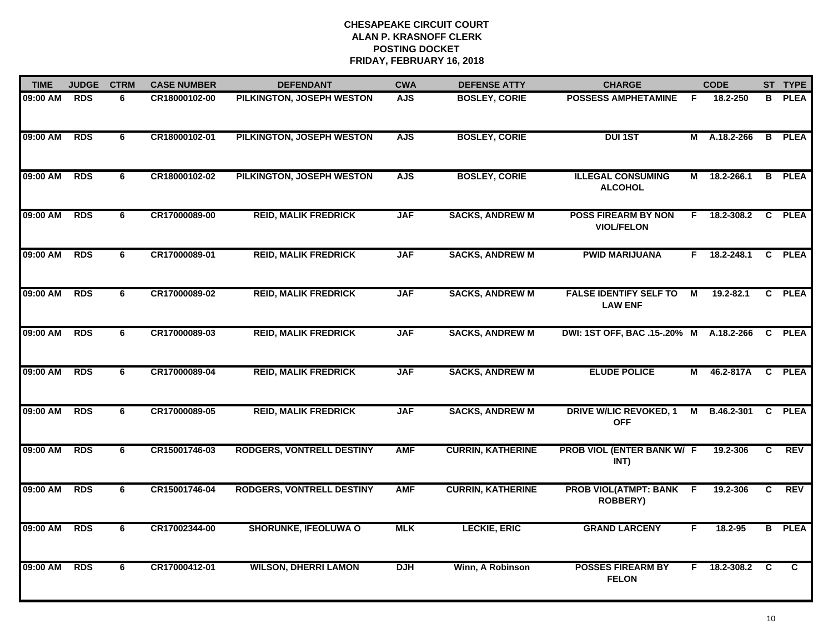| <b>TIME</b> | <b>JUDGE</b> | <b>CTRM</b> | <b>CASE NUMBER</b> | <b>DEFENDANT</b>                 | <b>CWA</b> | <b>DEFENSE ATTY</b>      | <b>CHARGE</b>                                     |    | <b>CODE</b>    |                | ST TYPE       |
|-------------|--------------|-------------|--------------------|----------------------------------|------------|--------------------------|---------------------------------------------------|----|----------------|----------------|---------------|
| 09:00 AM    | RDS          | 6           | CR18000102-00      | PILKINGTON, JOSEPH WESTON        | <b>AJS</b> | <b>BOSLEY, CORIE</b>     | <b>POSSESS AMPHETAMINE</b>                        | F. | 18.2-250       | B.             | <b>PLEA</b>   |
| 09:00 AM    | <b>RDS</b>   | 6           | CR18000102-01      | PILKINGTON, JOSEPH WESTON        | <b>AJS</b> | <b>BOSLEY, CORIE</b>     | <b>DUI 1ST</b>                                    |    | M A.18.2-266   | $\overline{B}$ | <b>PLEA</b>   |
| 09:00 AM    | <b>RDS</b>   | 6           | CR18000102-02      | PILKINGTON, JOSEPH WESTON        | <b>AJS</b> | <b>BOSLEY, CORIE</b>     | <b>ILLEGAL CONSUMING</b><br><b>ALCOHOL</b>        | М  | 18.2-266.1     |                | <b>B</b> PLEA |
| 09:00 AM    | <b>RDS</b>   | 6           | CR17000089-00      | <b>REID, MALIK FREDRICK</b>      | <b>JAF</b> | <b>SACKS, ANDREW M</b>   | <b>POSS FIREARM BY NON</b><br><b>VIOL/FELON</b>   |    | $F$ 18.2-308.2 |                | C PLEA        |
| 09:00 AM    | <b>RDS</b>   | 6           | CR17000089-01      | <b>REID, MALIK FREDRICK</b>      | <b>JAF</b> | <b>SACKS, ANDREW M</b>   | <b>PWID MARIJUANA</b>                             |    | F 18.2-248.1   |                | C PLEA        |
| 09:00 AM    | <b>RDS</b>   | 6           | CR17000089-02      | <b>REID, MALIK FREDRICK</b>      | <b>JAF</b> | <b>SACKS, ANDREW M</b>   | <b>FALSE IDENTIFY SELF TO</b><br><b>LAW ENF</b>   | М  | $19.2 - 82.1$  |                | C PLEA        |
| 09:00 AM    | <b>RDS</b>   | 6           | CR17000089-03      | <b>REID, MALIK FREDRICK</b>      | <b>JAF</b> | <b>SACKS, ANDREW M</b>   | DWI: 1ST OFF, BAC .15-.20% M                      |    | A.18.2-266     |                | C PLEA        |
| 09:00 AM    | <b>RDS</b>   | 6           | CR17000089-04      | <b>REID, MALIK FREDRICK</b>      | <b>JAF</b> | <b>SACKS, ANDREW M</b>   | <b>ELUDE POLICE</b>                               | М  | 46.2-817A      |                | C PLEA        |
| 09:00 AM    | <b>RDS</b>   | 6           | CR17000089-05      | <b>REID, MALIK FREDRICK</b>      | <b>JAF</b> | <b>SACKS, ANDREW M</b>   | <b>DRIVE W/LIC REVOKED, 1</b><br><b>OFF</b>       | M  | B.46.2-301     |                | C PLEA        |
| 09:00 AM    | <b>RDS</b>   | 6           | CR15001746-03      | <b>RODGERS, VONTRELL DESTINY</b> | <b>AMF</b> | <b>CURRIN, KATHERINE</b> | PROB VIOL (ENTER BANK W/ F<br>INT)                |    | 19.2-306       | C              | <b>REV</b>    |
| 09:00 AM    | <b>RDS</b>   | 6           | CR15001746-04      | <b>RODGERS, VONTRELL DESTINY</b> | <b>AMF</b> | <b>CURRIN, KATHERINE</b> | <b>PROB VIOL(ATMPT: BANK F</b><br><b>ROBBERY)</b> |    | 19.2-306       | C              | <b>REV</b>    |
| 09:00 AM    | <b>RDS</b>   | 6           | CR17002344-00      | <b>SHORUNKE, IFEOLUWA O</b>      | <b>MLK</b> | <b>LECKIE, ERIC</b>      | <b>GRAND LARCENY</b>                              | F  | 18.2-95        |                | <b>B</b> PLEA |
| 09:00 AM    | <b>RDS</b>   | 6           | CR17000412-01      | <b>WILSON, DHERRI LAMON</b>      | <b>DJH</b> | Winn, A Robinson         | <b>POSSES FIREARM BY</b><br><b>FELON</b>          | F. | 18.2-308.2     | C              | C             |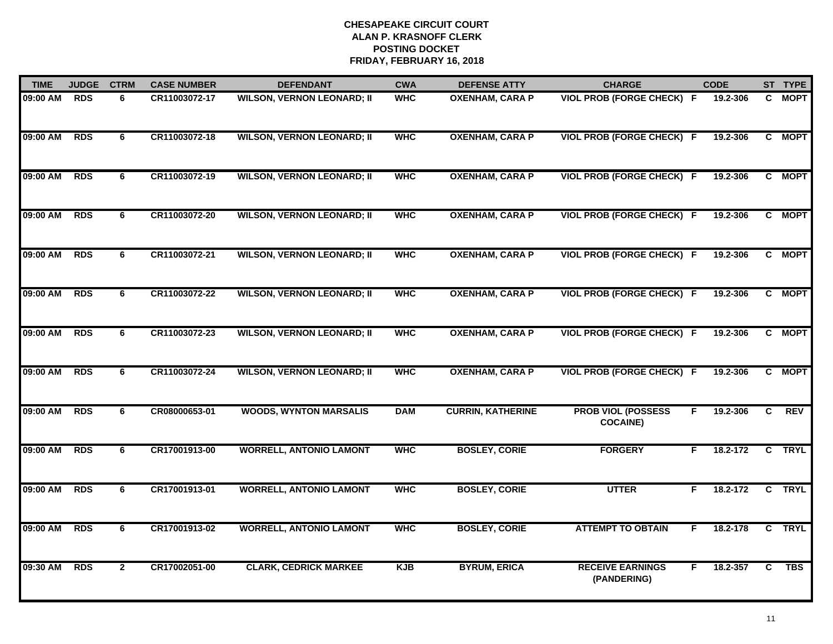| <b>TIME</b> | <b>JUDGE</b> | <b>CTRM</b>    | <b>CASE NUMBER</b> | <b>DEFENDANT</b>                  | <b>CWA</b> | <b>DEFENSE ATTY</b>      | <b>CHARGE</b>                                | <b>CODE</b>    |    | ST TYPE    |
|-------------|--------------|----------------|--------------------|-----------------------------------|------------|--------------------------|----------------------------------------------|----------------|----|------------|
| 09:00 AM    | <b>RDS</b>   | 6              | CR11003072-17      | <b>WILSON, VERNON LEONARD; II</b> | <b>WHC</b> | <b>OXENHAM, CARA P</b>   | <b>VIOL PROB (FORGE CHECK) F</b>             | 19.2-306       |    | C MOPT     |
| 09:00 AM    | <b>RDS</b>   | 6              | CR11003072-18      | <b>WILSON, VERNON LEONARD; II</b> | <b>WHC</b> | <b>OXENHAM, CARA P</b>   | <b>VIOL PROB (FORGE CHECK) F</b>             | 19.2-306       |    | C MOPT     |
| 09:00 AM    | <b>RDS</b>   | 6              | CR11003072-19      | <b>WILSON, VERNON LEONARD; II</b> | <b>WHC</b> | <b>OXENHAM, CARA P</b>   | <b>VIOL PROB (FORGE CHECK) F</b>             | 19.2-306       |    | C MOPT     |
| 09:00 AM    | <b>RDS</b>   | 6              | CR11003072-20      | <b>WILSON, VERNON LEONARD; II</b> | <b>WHC</b> | <b>OXENHAM, CARA P</b>   | <b>VIOL PROB (FORGE CHECK) F</b>             | 19.2-306       |    | C MOPT     |
| 09:00 AM    | <b>RDS</b>   | 6              | CR11003072-21      | <b>WILSON, VERNON LEONARD; II</b> | <b>WHC</b> | <b>OXENHAM, CARA P</b>   | <b>VIOL PROB (FORGE CHECK) F</b>             | 19.2-306       |    | C MOPT     |
| 09:00 AM    | <b>RDS</b>   | 6              | CR11003072-22      | <b>WILSON, VERNON LEONARD; II</b> | <b>WHC</b> | <b>OXENHAM, CARA P</b>   | <b>VIOL PROB (FORGE CHECK) F</b>             | 19.2-306       |    | C MOPT     |
| 09:00 AM    | <b>RDS</b>   | 6              | CR11003072-23      | <b>WILSON, VERNON LEONARD; II</b> | <b>WHC</b> | <b>OXENHAM, CARA P</b>   | <b>VIOL PROB (FORGE CHECK) F</b>             | 19.2-306       |    | C MOPT     |
| 09:00 AM    | <b>RDS</b>   | $\overline{6}$ | CR11003072-24      | <b>WILSON, VERNON LEONARD; II</b> | <b>WHC</b> | <b>OXENHAM, CARA P</b>   | <b>VIOL PROB (FORGE CHECK) F</b>             | 19.2-306       |    | C MOPT     |
| 09:00 AM    | <b>RDS</b>   | 6              | CR08000653-01      | <b>WOODS, WYNTON MARSALIS</b>     | <b>DAM</b> | <b>CURRIN, KATHERINE</b> | <b>PROB VIOL (POSSESS</b><br><b>COCAINE)</b> | 19.2-306<br>F. | C. | <b>REV</b> |
| 09:00 AM    | RDS          | 6              | CR17001913-00      | <b>WORRELL, ANTONIO LAMONT</b>    | <b>WHC</b> | <b>BOSLEY, CORIE</b>     | <b>FORGERY</b>                               | 18.2-172<br>F. |    | C TRYL     |
| 09:00 AM    | <b>RDS</b>   | 6              | CR17001913-01      | <b>WORRELL, ANTONIO LAMONT</b>    | <b>WHC</b> | <b>BOSLEY, CORIE</b>     | <b>UTTER</b>                                 | 18.2-172<br>F. |    | C TRYL     |
| 09:00 AM    | <b>RDS</b>   | 6              | CR17001913-02      | <b>WORRELL, ANTONIO LAMONT</b>    | <b>WHC</b> | <b>BOSLEY, CORIE</b>     | <b>ATTEMPT TO OBTAIN</b>                     | 18.2-178<br>F. |    | C TRYL     |
| 09:30 AM    | <b>RDS</b>   | $\overline{2}$ | CR17002051-00      | <b>CLARK, CEDRICK MARKEE</b>      | <b>KJB</b> | <b>BYRUM, ERICA</b>      | <b>RECEIVE EARNINGS</b><br>(PANDERING)       | F<br>18.2-357  | C. | <b>TBS</b> |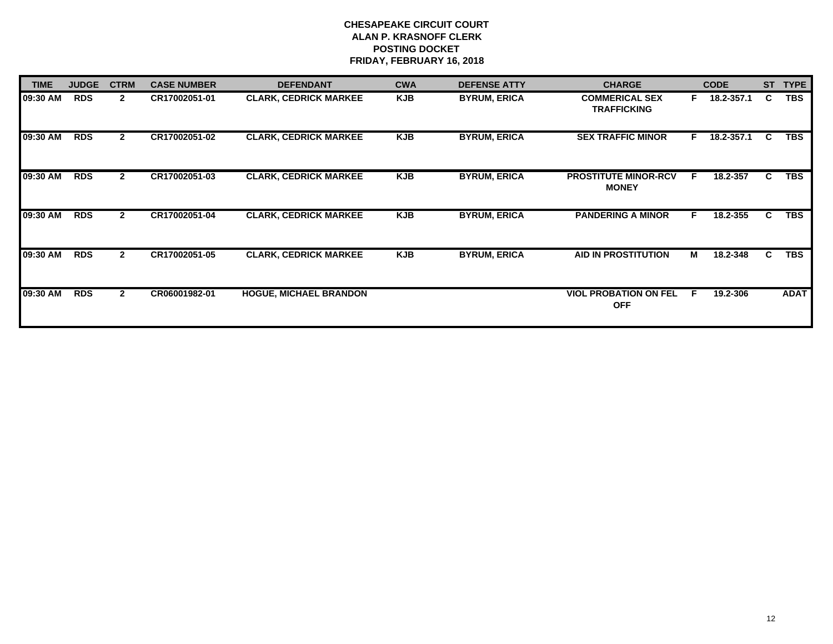| <b>TIME</b> | <b>JUDGE</b> | <b>CTRM</b>    | <b>CASE NUMBER</b> | <b>DEFENDANT</b>              | <b>CWA</b> | <b>DEFENSE ATTY</b> | <b>CHARGE</b>                               |    | <b>CODE</b> | <b>ST</b> | <b>TYPE</b> |
|-------------|--------------|----------------|--------------------|-------------------------------|------------|---------------------|---------------------------------------------|----|-------------|-----------|-------------|
| 09:30 AM    | <b>RDS</b>   | $\mathbf{2}$   | CR17002051-01      | <b>CLARK, CEDRICK MARKEE</b>  | <b>KJB</b> | <b>BYRUM, ERICA</b> | <b>COMMERICAL SEX</b><br><b>TRAFFICKING</b> | F  | 18.2-357.1  | C         | <b>TBS</b>  |
| 09:30 AM    | <b>RDS</b>   | $\mathbf{2}$   | CR17002051-02      | <b>CLARK, CEDRICK MARKEE</b>  | <b>KJB</b> | <b>BYRUM, ERICA</b> | <b>SEX TRAFFIC MINOR</b>                    | F. | 18.2-357.1  | C.        | <b>TBS</b>  |
| 09:30 AM    | <b>RDS</b>   | $\mathbf{2}$   | CR17002051-03      | <b>CLARK, CEDRICK MARKEE</b>  | <b>KJB</b> | <b>BYRUM, ERICA</b> | <b>PROSTITUTE MINOR-RCV</b><br><b>MONEY</b> | F. | 18.2-357    | C.        | <b>TBS</b>  |
| 09:30 AM    | <b>RDS</b>   | $\mathbf{2}$   | CR17002051-04      | <b>CLARK, CEDRICK MARKEE</b>  | <b>KJB</b> | <b>BYRUM, ERICA</b> | <b>PANDERING A MINOR</b>                    | F. | 18.2-355    | C.        | <b>TBS</b>  |
| 09:30 AM    | <b>RDS</b>   | $\overline{2}$ | CR17002051-05      | <b>CLARK, CEDRICK MARKEE</b>  | <b>KJB</b> | <b>BYRUM, ERICA</b> | <b>AID IN PROSTITUTION</b>                  | М  | 18.2-348    | C.        | <b>TBS</b>  |
| 09:30 AM    | <b>RDS</b>   | $\mathbf{2}$   | CR06001982-01      | <b>HOGUE, MICHAEL BRANDON</b> |            |                     | <b>VIOL PROBATION ON FEL</b><br><b>OFF</b>  | F. | 19.2-306    |           | <b>ADAT</b> |